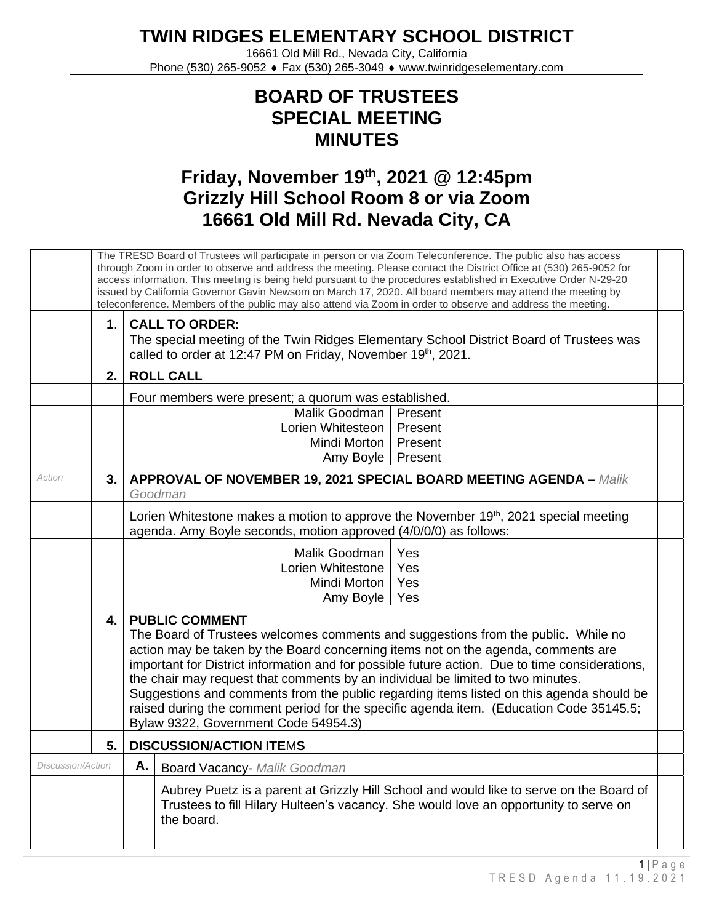## **TWIN RIDGES ELEMENTARY SCHOOL DISTRICT**

16661 Old Mill Rd., Nevada City, California Phone (530) 265-9052 ♦ Fax (530) 265-3049 ♦ www.twinridgeselementary.com

## **BOARD OF TRUSTEES SPECIAL MEETING MINUTES**

## **Friday, November 19 th , 2021 @ 12:45pm Grizzly Hill School Room 8 or via Zoom 16661 Old Mill Rd. Nevada City, CA**

|                          |               | The TRESD Board of Trustees will participate in person or via Zoom Teleconference. The public also has access<br>through Zoom in order to observe and address the meeting. Please contact the District Office at (530) 265-9052 for<br>access information. This meeting is being held pursuant to the procedures established in Executive Order N-29-20<br>issued by California Governor Gavin Newsom on March 17, 2020. All board members may attend the meeting by<br>teleconference. Members of the public may also attend via Zoom in order to observe and address the meeting.                                 |  |  |  |  |
|--------------------------|---------------|---------------------------------------------------------------------------------------------------------------------------------------------------------------------------------------------------------------------------------------------------------------------------------------------------------------------------------------------------------------------------------------------------------------------------------------------------------------------------------------------------------------------------------------------------------------------------------------------------------------------|--|--|--|--|
|                          | $\mathbf 1$ . | <b>CALL TO ORDER:</b>                                                                                                                                                                                                                                                                                                                                                                                                                                                                                                                                                                                               |  |  |  |  |
|                          |               | The special meeting of the Twin Ridges Elementary School District Board of Trustees was<br>called to order at 12:47 PM on Friday, November 19th, 2021.                                                                                                                                                                                                                                                                                                                                                                                                                                                              |  |  |  |  |
|                          | 2.            | <b>ROLL CALL</b>                                                                                                                                                                                                                                                                                                                                                                                                                                                                                                                                                                                                    |  |  |  |  |
|                          |               | Four members were present; a quorum was established.                                                                                                                                                                                                                                                                                                                                                                                                                                                                                                                                                                |  |  |  |  |
|                          |               | Malik Goodman<br>Present                                                                                                                                                                                                                                                                                                                                                                                                                                                                                                                                                                                            |  |  |  |  |
|                          |               | Lorien Whitesteon<br>Present                                                                                                                                                                                                                                                                                                                                                                                                                                                                                                                                                                                        |  |  |  |  |
|                          |               | Present<br>Mindi Morton                                                                                                                                                                                                                                                                                                                                                                                                                                                                                                                                                                                             |  |  |  |  |
|                          |               | Amy Boyle<br>Present                                                                                                                                                                                                                                                                                                                                                                                                                                                                                                                                                                                                |  |  |  |  |
| Action                   | 3.            | <b>APPROVAL OF NOVEMBER 19, 2021 SPECIAL BOARD MEETING AGENDA - Malik</b><br>Goodman                                                                                                                                                                                                                                                                                                                                                                                                                                                                                                                                |  |  |  |  |
|                          |               | Lorien Whitestone makes a motion to approve the November 19 <sup>th</sup> , 2021 special meeting<br>agenda. Amy Boyle seconds, motion approved (4/0/0/0) as follows:                                                                                                                                                                                                                                                                                                                                                                                                                                                |  |  |  |  |
|                          |               | Malik Goodman<br>Yes<br>Lorien Whitestone<br>Yes<br>Mindi Morton<br>Yes<br>Amy Boyle<br>Yes                                                                                                                                                                                                                                                                                                                                                                                                                                                                                                                         |  |  |  |  |
|                          | 4.            | <b>PUBLIC COMMENT</b><br>The Board of Trustees welcomes comments and suggestions from the public. While no<br>action may be taken by the Board concerning items not on the agenda, comments are<br>important for District information and for possible future action. Due to time considerations,<br>the chair may request that comments by an individual be limited to two minutes.<br>Suggestions and comments from the public regarding items listed on this agenda should be<br>raised during the comment period for the specific agenda item. (Education Code 35145.5;<br>Bylaw 9322, Government Code 54954.3) |  |  |  |  |
|                          | 5.            | <b>DISCUSSION/ACTION ITEMS</b>                                                                                                                                                                                                                                                                                                                                                                                                                                                                                                                                                                                      |  |  |  |  |
| <b>Discussion/Action</b> |               | Α.<br><b>Board Vacancy- Malik Goodman</b>                                                                                                                                                                                                                                                                                                                                                                                                                                                                                                                                                                           |  |  |  |  |
|                          |               | Aubrey Puetz is a parent at Grizzly Hill School and would like to serve on the Board of<br>Trustees to fill Hilary Hulteen's vacancy. She would love an opportunity to serve on<br>the board.                                                                                                                                                                                                                                                                                                                                                                                                                       |  |  |  |  |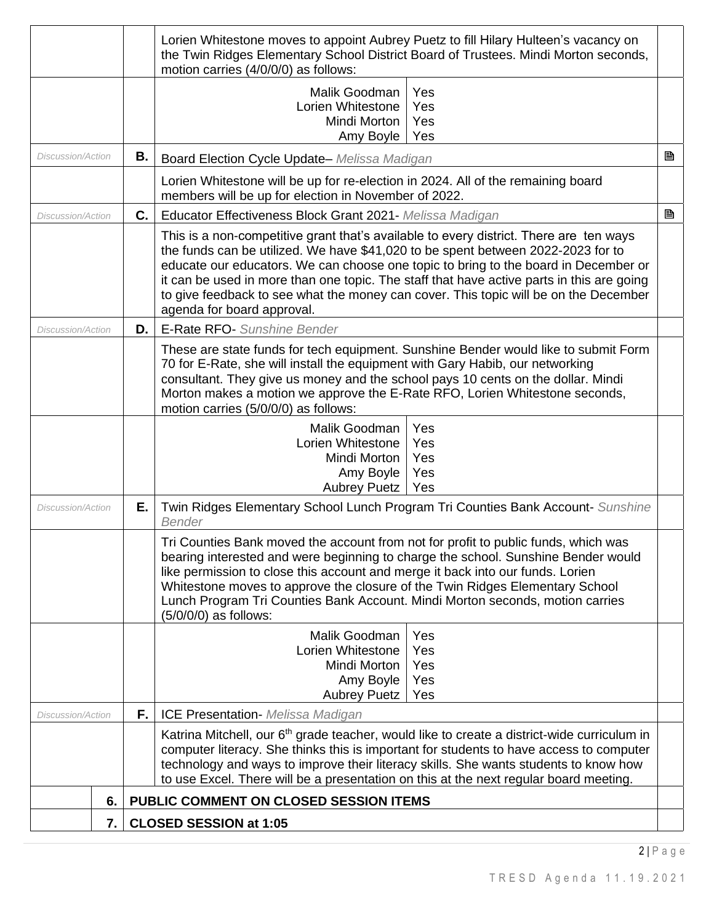|                          |    |    | Lorien Whitestone moves to appoint Aubrey Puetz to fill Hilary Hulteen's vacancy on<br>the Twin Ridges Elementary School District Board of Trustees. Mindi Morton seconds,<br>motion carries (4/0/0/0) as follows:                                                                                                                                                                                                                                                                   |   |  |  |  |
|--------------------------|----|----|--------------------------------------------------------------------------------------------------------------------------------------------------------------------------------------------------------------------------------------------------------------------------------------------------------------------------------------------------------------------------------------------------------------------------------------------------------------------------------------|---|--|--|--|
|                          |    |    | Malik Goodman<br>Yes<br>Lorien Whitestone<br>Yes<br>Yes<br>Mindi Morton<br>Amy Boyle<br>Yes                                                                                                                                                                                                                                                                                                                                                                                          |   |  |  |  |
| Discussion/Action        |    | В. | Board Election Cycle Update- Melissa Madigan                                                                                                                                                                                                                                                                                                                                                                                                                                         | B |  |  |  |
|                          |    |    | Lorien Whitestone will be up for re-election in 2024. All of the remaining board<br>members will be up for election in November of 2022.                                                                                                                                                                                                                                                                                                                                             |   |  |  |  |
| Discussion/Action        |    | C. | Educator Effectiveness Block Grant 2021- Melissa Madigan                                                                                                                                                                                                                                                                                                                                                                                                                             | B |  |  |  |
|                          |    |    | This is a non-competitive grant that's available to every district. There are ten ways<br>the funds can be utilized. We have \$41,020 to be spent between 2022-2023 for to<br>educate our educators. We can choose one topic to bring to the board in December or<br>it can be used in more than one topic. The staff that have active parts in this are going<br>to give feedback to see what the money can cover. This topic will be on the December<br>agenda for board approval. |   |  |  |  |
| Discussion/Action        |    | D. | <b>E-Rate RFO-</b> Sunshine Bender                                                                                                                                                                                                                                                                                                                                                                                                                                                   |   |  |  |  |
|                          |    |    | These are state funds for tech equipment. Sunshine Bender would like to submit Form<br>70 for E-Rate, she will install the equipment with Gary Habib, our networking<br>consultant. They give us money and the school pays 10 cents on the dollar. Mindi<br>Morton makes a motion we approve the E-Rate RFO, Lorien Whitestone seconds,<br>motion carries (5/0/0/0) as follows:                                                                                                      |   |  |  |  |
|                          |    |    | Malik Goodman<br>Yes<br>Lorien Whitestone<br>Yes<br>Mindi Morton<br>Yes<br>Amy Boyle<br>Yes<br>Yes<br><b>Aubrey Puetz</b>                                                                                                                                                                                                                                                                                                                                                            |   |  |  |  |
| <i>Discussion/Action</i> |    | Е. | Twin Ridges Elementary School Lunch Program Tri Counties Bank Account- Sunshine<br><b>Bender</b>                                                                                                                                                                                                                                                                                                                                                                                     |   |  |  |  |
|                          |    |    | Tri Counties Bank moved the account from not for profit to public funds, which was<br>bearing interested and were beginning to charge the school. Sunshine Bender would<br>like permission to close this account and merge it back into our funds. Lorien<br>Whitestone moves to approve the closure of the Twin Ridges Elementary School<br>Lunch Program Tri Counties Bank Account. Mindi Morton seconds, motion carries<br>(5/0/0/0) as follows:                                  |   |  |  |  |
|                          |    |    | Malik Goodman<br>Yes<br>Lorien Whitestone<br>Yes<br>Yes<br>Mindi Morton<br>Yes<br>Amy Boyle<br>Yes<br><b>Aubrey Puetz</b>                                                                                                                                                                                                                                                                                                                                                            |   |  |  |  |
| Discussion/Action        |    | F. | <b>ICE Presentation- Melissa Madigan</b>                                                                                                                                                                                                                                                                                                                                                                                                                                             |   |  |  |  |
|                          |    |    | Katrina Mitchell, our 6 <sup>th</sup> grade teacher, would like to create a district-wide curriculum in<br>computer literacy. She thinks this is important for students to have access to computer<br>technology and ways to improve their literacy skills. She wants students to know how<br>to use Excel. There will be a presentation on this at the next regular board meeting.                                                                                                  |   |  |  |  |
|                          | 6. |    | PUBLIC COMMENT ON CLOSED SESSION ITEMS                                                                                                                                                                                                                                                                                                                                                                                                                                               |   |  |  |  |
|                          | 7. |    | <b>CLOSED SESSION at 1:05</b>                                                                                                                                                                                                                                                                                                                                                                                                                                                        |   |  |  |  |